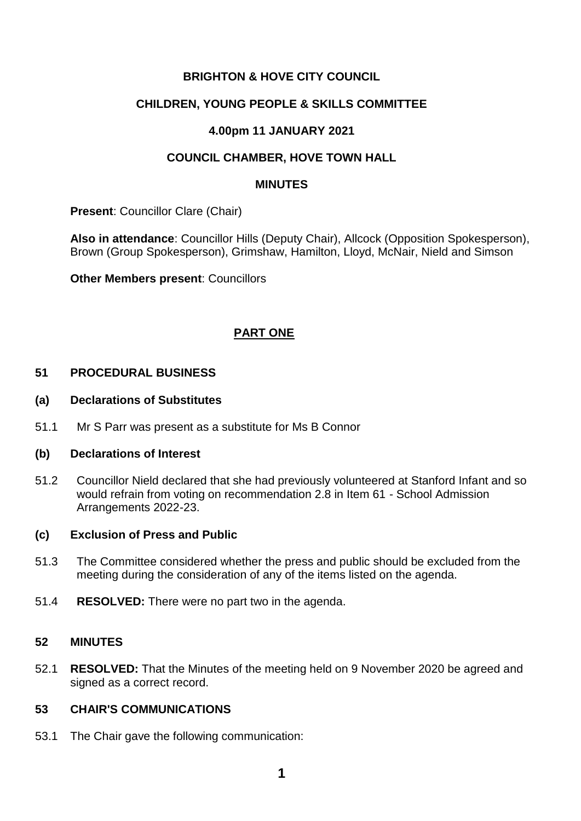## **BRIGHTON & HOVE CITY COUNCIL**

## **CHILDREN, YOUNG PEOPLE & SKILLS COMMITTEE**

## **4.00pm 11 JANUARY 2021**

## **COUNCIL CHAMBER, HOVE TOWN HALL**

#### **MINUTES**

**Present**: Councillor Clare (Chair)

**Also in attendance**: Councillor Hills (Deputy Chair), Allcock (Opposition Spokesperson), Brown (Group Spokesperson), Grimshaw, Hamilton, Lloyd, McNair, Nield and Simson

**Other Members present**: Councillors

## **PART ONE**

#### **51 PROCEDURAL BUSINESS**

#### **(a) Declarations of Substitutes**

51.1 Mr S Parr was present as a substitute for Ms B Connor

#### **(b) Declarations of Interest**

51.2 Councillor Nield declared that she had previously volunteered at Stanford Infant and so would refrain from voting on recommendation 2.8 in Item 61 - School Admission Arrangements 2022-23.

#### **(c) Exclusion of Press and Public**

- 51.3 The Committee considered whether the press and public should be excluded from the meeting during the consideration of any of the items listed on the agenda.
- 51.4 **RESOLVED:** There were no part two in the agenda.

## **52 MINUTES**

52.1 **RESOLVED:** That the Minutes of the meeting held on 9 November 2020 be agreed and signed as a correct record.

## **53 CHAIR'S COMMUNICATIONS**

53.1 The Chair gave the following communication: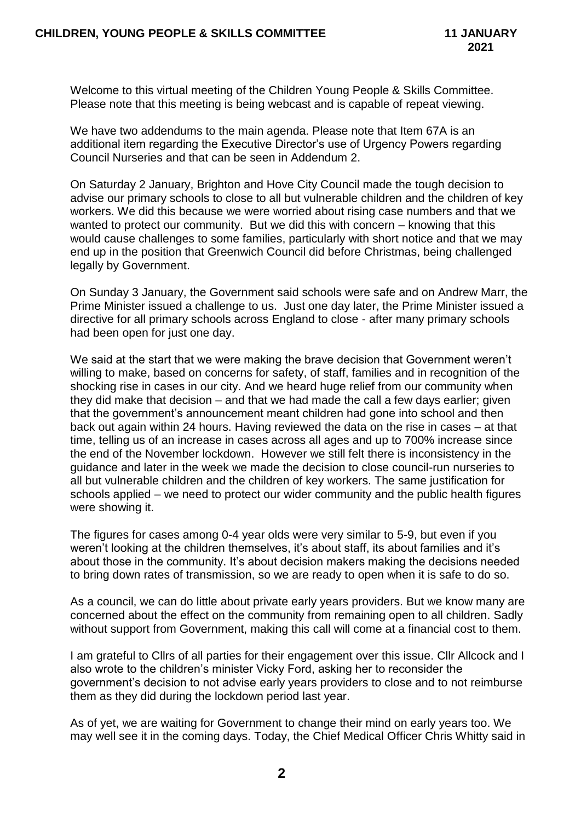Welcome to this virtual meeting of the Children Young People & Skills Committee. Please note that this meeting is being webcast and is capable of repeat viewing.

We have two addendums to the main agenda. Please note that Item 67A is an additional item regarding the Executive Director's use of Urgency Powers regarding Council Nurseries and that can be seen in Addendum 2.

On Saturday 2 January, Brighton and Hove City Council made the tough decision to advise our primary schools to close to all but vulnerable children and the children of key workers. We did this because we were worried about rising case numbers and that we wanted to protect our community. But we did this with concern – knowing that this would cause challenges to some families, particularly with short notice and that we may end up in the position that Greenwich Council did before Christmas, being challenged legally by Government.

On Sunday 3 January, the Government said schools were safe and on Andrew Marr, the Prime Minister issued a challenge to us. Just one day later, the Prime Minister issued a directive for all primary schools across England to close - after many primary schools had been open for just one day.

We said at the start that we were making the brave decision that Government weren't willing to make, based on concerns for safety, of staff, families and in recognition of the shocking rise in cases in our city. And we heard huge relief from our community when they did make that decision – and that we had made the call a few days earlier; given that the government's announcement meant children had gone into school and then back out again within 24 hours. Having reviewed the data on the rise in cases – at that time, telling us of an increase in cases across all ages and up to 700% increase since the end of the November lockdown. However we still felt there is inconsistency in the guidance and later in the week we made the decision to close council-run nurseries to all but vulnerable children and the children of key workers. The same justification for schools applied – we need to protect our wider community and the public health figures were showing it.

The figures for cases among 0-4 year olds were very similar to 5-9, but even if you weren't looking at the children themselves, it's about staff, its about families and it's about those in the community. It's about decision makers making the decisions needed to bring down rates of transmission, so we are ready to open when it is safe to do so.

As a council, we can do little about private early years providers. But we know many are concerned about the effect on the community from remaining open to all children. Sadly without support from Government, making this call will come at a financial cost to them.

I am grateful to Cllrs of all parties for their engagement over this issue. Cllr Allcock and I also wrote to the children's minister Vicky Ford, asking her to reconsider the government's decision to not advise early years providers to close and to not reimburse them as they did during the lockdown period last year.

As of yet, we are waiting for Government to change their mind on early years too. We may well see it in the coming days. Today, the Chief Medical Officer Chris Whitty said in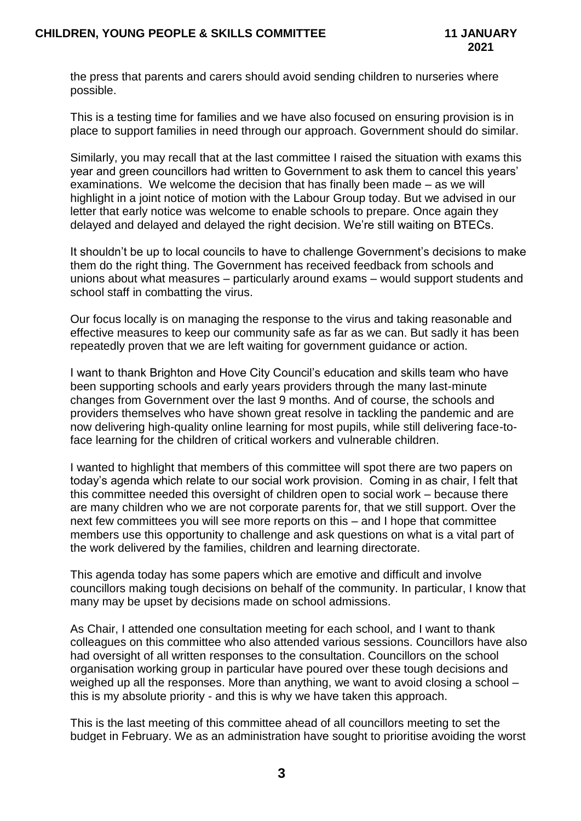the press that parents and carers should avoid sending children to nurseries where possible.

This is a testing time for families and we have also focused on ensuring provision is in place to support families in need through our approach. Government should do similar.

Similarly, you may recall that at the last committee I raised the situation with exams this year and green councillors had written to Government to ask them to cancel this years' examinations. We welcome the decision that has finally been made – as we will highlight in a joint notice of motion with the Labour Group today. But we advised in our letter that early notice was welcome to enable schools to prepare. Once again they delayed and delayed and delayed the right decision. We're still waiting on BTECs.

It shouldn't be up to local councils to have to challenge Government's decisions to make them do the right thing. The Government has received feedback from schools and unions about what measures – particularly around exams – would support students and school staff in combatting the virus.

Our focus locally is on managing the response to the virus and taking reasonable and effective measures to keep our community safe as far as we can. But sadly it has been repeatedly proven that we are left waiting for government guidance or action.

I want to thank Brighton and Hove City Council's education and skills team who have been supporting schools and early years providers through the many last-minute changes from Government over the last 9 months. And of course, the schools and providers themselves who have shown great resolve in tackling the pandemic and are now delivering high-quality online learning for most pupils, while still delivering face-toface learning for the children of critical workers and vulnerable children.

I wanted to highlight that members of this committee will spot there are two papers on today's agenda which relate to our social work provision. Coming in as chair, I felt that this committee needed this oversight of children open to social work – because there are many children who we are not corporate parents for, that we still support. Over the next few committees you will see more reports on this – and I hope that committee members use this opportunity to challenge and ask questions on what is a vital part of the work delivered by the families, children and learning directorate.

This agenda today has some papers which are emotive and difficult and involve councillors making tough decisions on behalf of the community. In particular, I know that many may be upset by decisions made on school admissions.

As Chair, I attended one consultation meeting for each school, and I want to thank colleagues on this committee who also attended various sessions. Councillors have also had oversight of all written responses to the consultation. Councillors on the school organisation working group in particular have poured over these tough decisions and weighed up all the responses. More than anything, we want to avoid closing a school – this is my absolute priority - and this is why we have taken this approach.

This is the last meeting of this committee ahead of all councillors meeting to set the budget in February. We as an administration have sought to prioritise avoiding the worst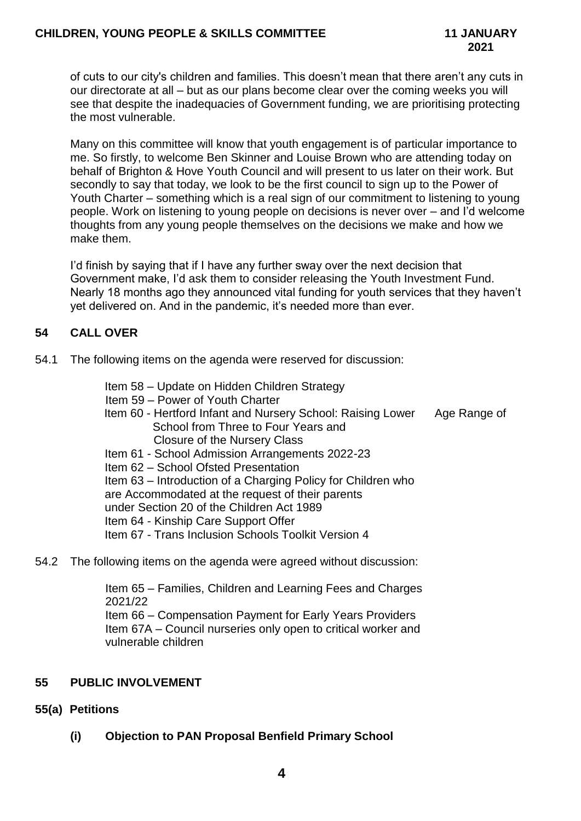of cuts to our city's children and families. This doesn't mean that there aren't any cuts in our directorate at all – but as our plans become clear over the coming weeks you will see that despite the inadequacies of Government funding, we are prioritising protecting the most vulnerable.

Many on this committee will know that youth engagement is of particular importance to me. So firstly, to welcome Ben Skinner and Louise Brown who are attending today on behalf of Brighton & Hove Youth Council and will present to us later on their work. But secondly to say that today, we look to be the first council to sign up to the Power of Youth Charter – something which is a real sign of our commitment to listening to young people. Work on listening to young people on decisions is never over – and I'd welcome thoughts from any young people themselves on the decisions we make and how we make them.

I'd finish by saying that if I have any further sway over the next decision that Government make, I'd ask them to consider releasing the Youth Investment Fund. Nearly 18 months ago they announced vital funding for youth services that they haven't yet delivered on. And in the pandemic, it's needed more than ever.

## **54 CALL OVER**

- 54.1 The following items on the agenda were reserved for discussion:
	- Item 58 Update on Hidden Children Strategy
	- Item 59 Power of Youth Charter
	- Item 60 Hertford Infant and Nursery School: Raising Lower Age Range of School from Three to Four Years and Closure of the Nursery Class
	- Item 61 School Admission Arrangements 2022-23
	- Item 62 School Ofsted Presentation

Item 63 – Introduction of a Charging Policy for Children who are Accommodated at the request of their parents under Section 20 of the Children Act 1989 Item 64 - Kinship Care Support Offer Item 67 - Trans Inclusion Schools Toolkit Version 4

54.2 The following items on the agenda were agreed without discussion:

Item 65 – Families, Children and Learning Fees and Charges 2021/22 Item 66 – Compensation Payment for Early Years Providers Item 67A – Council nurseries only open to critical worker and vulnerable children

## **55 PUBLIC INVOLVEMENT**

## **55(a) Petitions**

**(i) Objection to PAN Proposal Benfield Primary School**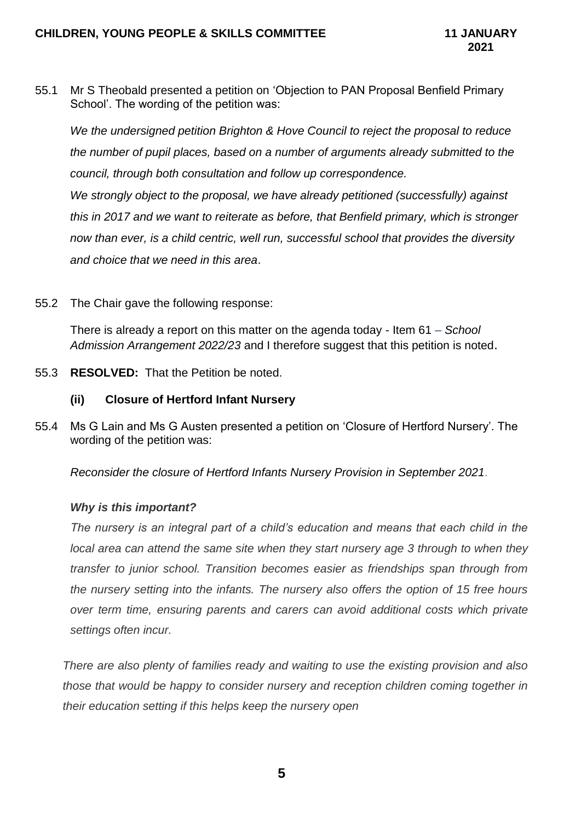55.1 Mr S Theobald presented a petition on 'Objection to PAN Proposal Benfield Primary School'. The wording of the petition was:

*We the undersigned petition Brighton & Hove Council to reject the proposal to reduce the number of pupil places, based on a number of arguments already submitted to the council, through both consultation and follow up correspondence.* 

*We strongly object to the proposal, we have already petitioned (successfully) against this in 2017 and we want to reiterate as before, that Benfield primary, which is stronger now than ever, is a child centric, well run, successful school that provides the diversity and choice that we need in this area*.

55.2 The Chair gave the following response:

There is already a report on this matter on the agenda today - Item 61 – *School Admission Arrangement 2022/23* and I therefore suggest that this petition is noted.

55.3 **RESOLVED:** That the Petition be noted.

## **(ii) Closure of Hertford Infant Nursery**

55.4 Ms G Lain and Ms G Austen presented a petition on 'Closure of Hertford Nursery'. The wording of the petition was:

*Reconsider the closure of Hertford Infants Nursery Provision in September 2021.*

## *Why is this important?*

*The nursery is an integral part of a child's education and means that each child in the local area can attend the same site when they start nursery age 3 through to when they transfer to junior school. Transition becomes easier as friendships span through from the nursery setting into the infants. The nursery also offers the option of 15 free hours over term time, ensuring parents and carers can avoid additional costs which private settings often incur.*

*There are also plenty of families ready and waiting to use the existing provision and also those that would be happy to consider nursery and reception children coming together in their education setting if this helps keep the nursery open*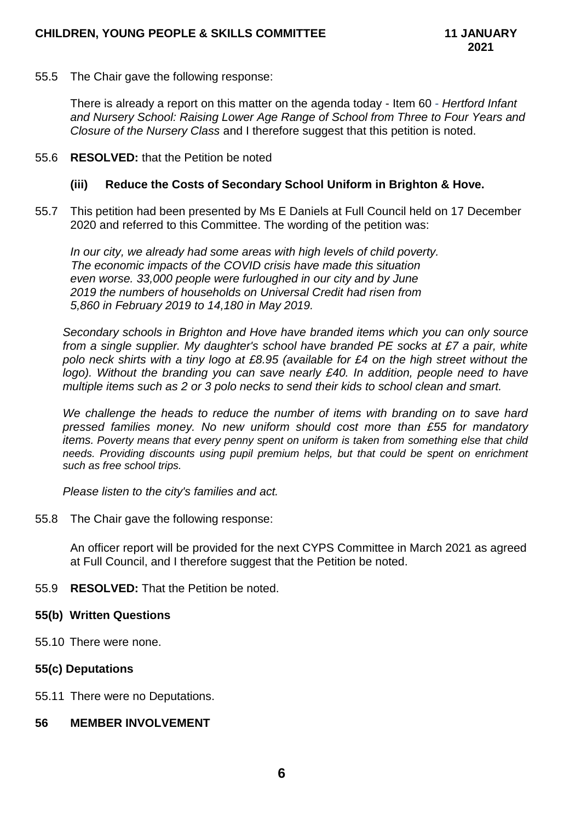55.5 The Chair gave the following response:

There is already a report on this matter on the agenda today - Item 60 - *Hertford Infant and Nursery School: Raising Lower Age Range of School from Three to Four Years and Closure of the Nursery Class* and I therefore suggest that this petition is noted.

### 55.6 **RESOLVED:** that the Petition be noted

### **(iii) Reduce the Costs of Secondary School Uniform in Brighton & Hove.**

55.7 This petition had been presented by Ms E Daniels at Full Council held on 17 December 2020 and referred to this Committee. The wording of the petition was:

*In our city, we already had some areas with high levels of child poverty. The economic impacts of the COVID crisis have made this situation even worse. 33,000 people were furloughed in our city and by June 2019 the numbers of households on Universal Credit had risen from 5,860 in February 2019 to 14,180 in May 2019.*

*Secondary schools in Brighton and Hove have branded items which you can only source*  from a single supplier. My daughter's school have branded PE socks at £7 a pair, white *polo neck shirts with a tiny logo at £8.95 (available for £4 on the high street without the logo). Without the branding you can save nearly £40. In addition, people need to have multiple items such as 2 or 3 polo necks to send their kids to school clean and smart.*

We challenge the heads to reduce the number of items with branding on to save hard *pressed families money. No new uniform should cost more than £55 for mandatory items. Poverty means that every penny spent on uniform is taken from something else that child needs. Providing discounts using pupil premium helps, but that could be spent on enrichment such as free school trips.*

*Please listen to the city's families and act.*

55.8 The Chair gave the following response:

An officer report will be provided for the next CYPS Committee in March 2021 as agreed at Full Council, and I therefore suggest that the Petition be noted.

55.9 **RESOLVED:** That the Petition be noted.

#### **55(b) Written Questions**

55.10 There were none.

## **55(c) Deputations**

55.11 There were no Deputations.

## **56 MEMBER INVOLVEMENT**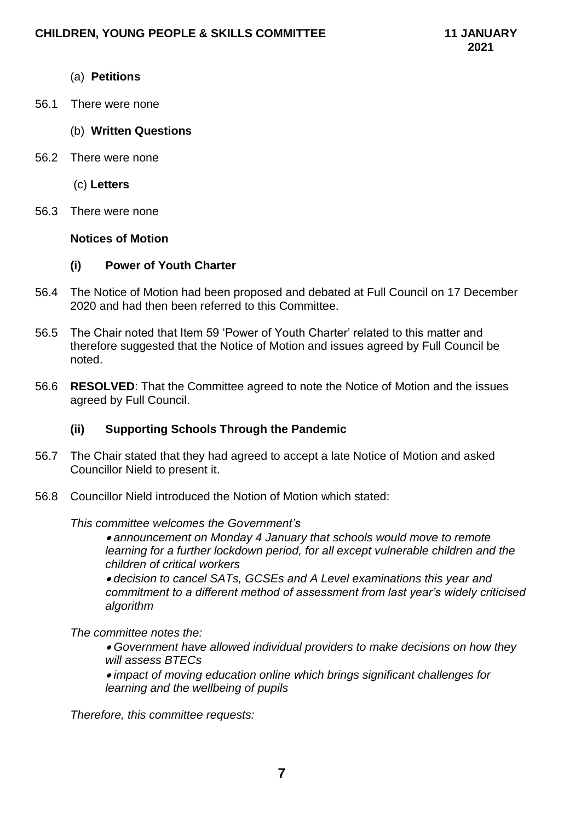## (a) **Petitions**

56.1 There were none

### (b) **Written Questions**

56.2 There were none

(c) **Letters**

56.3 There were none

#### **Notices of Motion**

## **(i) Power of Youth Charter**

- 56.4 The Notice of Motion had been proposed and debated at Full Council on 17 December 2020 and had then been referred to this Committee.
- 56.5 The Chair noted that Item 59 'Power of Youth Charter' related to this matter and therefore suggested that the Notice of Motion and issues agreed by Full Council be noted.
- 56.6 **RESOLVED**: That the Committee agreed to note the Notice of Motion and the issues agreed by Full Council.

## **(ii) Supporting Schools Through the Pandemic**

- 56.7 The Chair stated that they had agreed to accept a late Notice of Motion and asked Councillor Nield to present it.
- 56.8 Councillor Nield introduced the Notion of Motion which stated:

#### *This committee welcomes the Government's*

 *announcement on Monday 4 January that schools would move to remote*  learning for a further lockdown period, for all except vulnerable children and the *children of critical workers*

 *decision to cancel SATs, GCSEs and A Level examinations this year and commitment to a different method of assessment from last year's widely criticised algorithm*

## *The committee notes the:*

 *Government have allowed individual providers to make decisions on how they will assess BTECs*

 *impact of moving education online which brings significant challenges for learning and the wellbeing of pupils*

*Therefore, this committee requests:*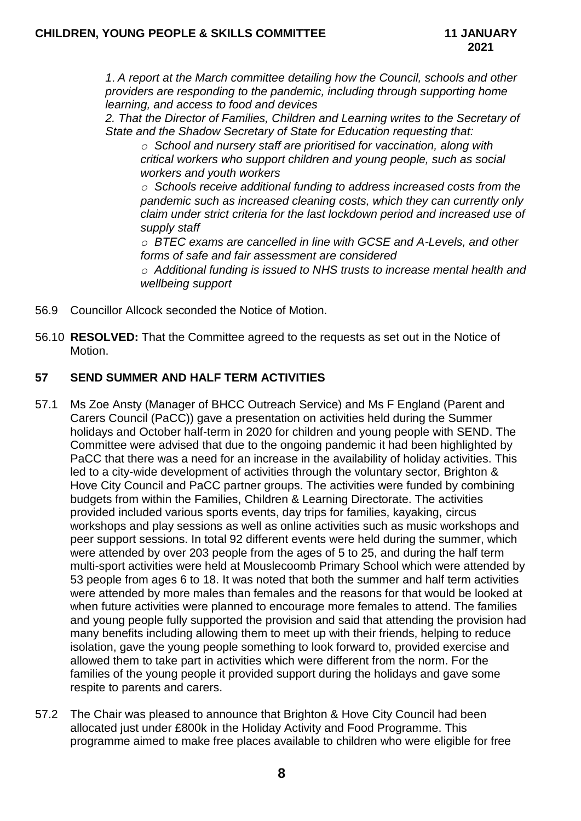*1 A report at the March committee detailing how the Council, schools and other providers are responding to the pandemic, including through supporting home learning, and access to food and devices*

*2. That the Director of Families, Children and Learning writes to the Secretary of State and the Shadow Secretary of State for Education requesting that:*

*o School and nursery staff are prioritised for vaccination, along with critical workers who support children and young people, such as social workers and youth workers*

*o Schools receive additional funding to address increased costs from the pandemic such as increased cleaning costs, which they can currently only claim under strict criteria for the last lockdown period and increased use of supply staff*

*o BTEC exams are cancelled in line with GCSE and A-Levels, and other forms of safe and fair assessment are considered*

*o Additional funding is issued to NHS trusts to increase mental health and wellbeing support*

- 56.9 Councillor Allcock seconded the Notice of Motion.
- 56.10 **RESOLVED:** That the Committee agreed to the requests as set out in the Notice of Motion.

## **57 SEND SUMMER AND HALF TERM ACTIVITIES**

- 57.1 Ms Zoe Ansty (Manager of BHCC Outreach Service) and Ms F England (Parent and Carers Council (PaCC)) gave a presentation on activities held during the Summer holidays and October half-term in 2020 for children and young people with SEND. The Committee were advised that due to the ongoing pandemic it had been highlighted by PaCC that there was a need for an increase in the availability of holiday activities. This led to a city-wide development of activities through the voluntary sector, Brighton & Hove City Council and PaCC partner groups. The activities were funded by combining budgets from within the Families, Children & Learning Directorate. The activities provided included various sports events, day trips for families, kayaking, circus workshops and play sessions as well as online activities such as music workshops and peer support sessions. In total 92 different events were held during the summer, which were attended by over 203 people from the ages of 5 to 25, and during the half term multi-sport activities were held at Mouslecoomb Primary School which were attended by 53 people from ages 6 to 18. It was noted that both the summer and half term activities were attended by more males than females and the reasons for that would be looked at when future activities were planned to encourage more females to attend. The families and young people fully supported the provision and said that attending the provision had many benefits including allowing them to meet up with their friends, helping to reduce isolation, gave the young people something to look forward to, provided exercise and allowed them to take part in activities which were different from the norm. For the families of the young people it provided support during the holidays and gave some respite to parents and carers.
- 57.2 The Chair was pleased to announce that Brighton & Hove City Council had been allocated just under £800k in the Holiday Activity and Food Programme. This programme aimed to make free places available to children who were eligible for free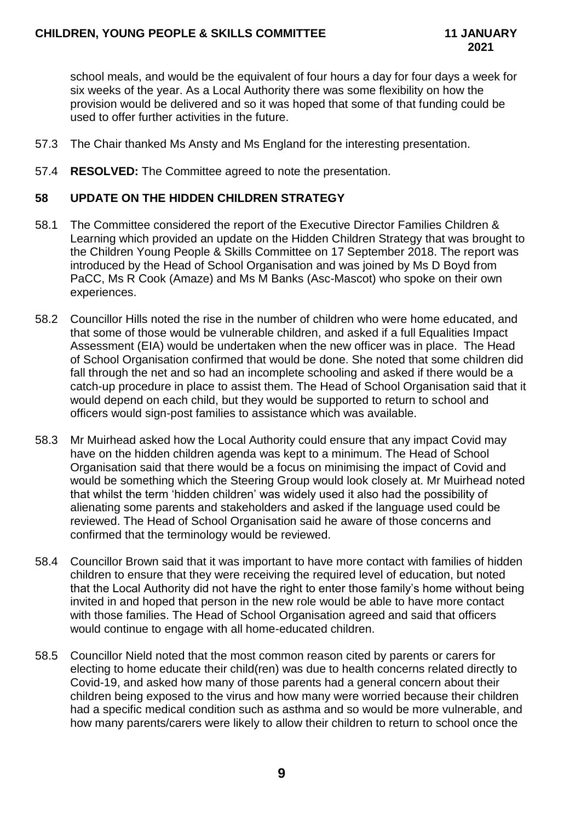school meals, and would be the equivalent of four hours a day for four days a week for six weeks of the year. As a Local Authority there was some flexibility on how the provision would be delivered and so it was hoped that some of that funding could be used to offer further activities in the future.

- 57.3 The Chair thanked Ms Ansty and Ms England for the interesting presentation.
- 57.4 **RESOLVED:** The Committee agreed to note the presentation.

## **58 UPDATE ON THE HIDDEN CHILDREN STRATEGY**

- 58.1 The Committee considered the report of the Executive Director Families Children & Learning which provided an update on the Hidden Children Strategy that was brought to the Children Young People & Skills Committee on 17 September 2018. The report was introduced by the Head of School Organisation and was joined by Ms D Boyd from PaCC, Ms R Cook (Amaze) and Ms M Banks (Asc-Mascot) who spoke on their own experiences.
- 58.2 Councillor Hills noted the rise in the number of children who were home educated, and that some of those would be vulnerable children, and asked if a full Equalities Impact Assessment (EIA) would be undertaken when the new officer was in place. The Head of School Organisation confirmed that would be done. She noted that some children did fall through the net and so had an incomplete schooling and asked if there would be a catch-up procedure in place to assist them. The Head of School Organisation said that it would depend on each child, but they would be supported to return to school and officers would sign-post families to assistance which was available.
- 58.3 Mr Muirhead asked how the Local Authority could ensure that any impact Covid may have on the hidden children agenda was kept to a minimum. The Head of School Organisation said that there would be a focus on minimising the impact of Covid and would be something which the Steering Group would look closely at. Mr Muirhead noted that whilst the term 'hidden children' was widely used it also had the possibility of alienating some parents and stakeholders and asked if the language used could be reviewed. The Head of School Organisation said he aware of those concerns and confirmed that the terminology would be reviewed.
- 58.4 Councillor Brown said that it was important to have more contact with families of hidden children to ensure that they were receiving the required level of education, but noted that the Local Authority did not have the right to enter those family's home without being invited in and hoped that person in the new role would be able to have more contact with those families. The Head of School Organisation agreed and said that officers would continue to engage with all home-educated children.
- 58.5 Councillor Nield noted that the most common reason cited by parents or carers for electing to home educate their child(ren) was due to health concerns related directly to Covid-19, and asked how many of those parents had a general concern about their children being exposed to the virus and how many were worried because their children had a specific medical condition such as asthma and so would be more vulnerable, and how many parents/carers were likely to allow their children to return to school once the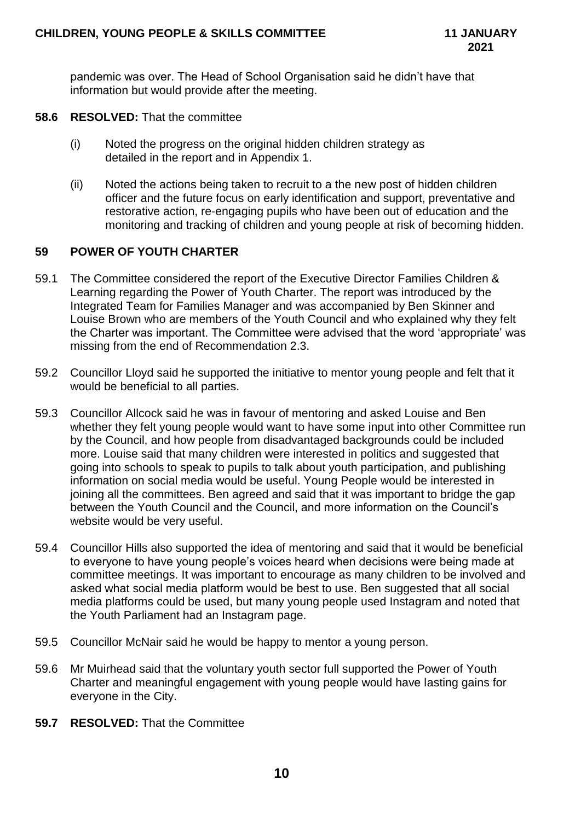pandemic was over. The Head of School Organisation said he didn't have that information but would provide after the meeting.

- **58.6 RESOLVED:** That the committee
	- (i) Noted the progress on the original hidden children strategy as detailed in the report and in Appendix 1.
	- (ii) Noted the actions being taken to recruit to a the new post of hidden children officer and the future focus on early identification and support, preventative and restorative action, re-engaging pupils who have been out of education and the monitoring and tracking of children and young people at risk of becoming hidden.

## **59 POWER OF YOUTH CHARTER**

- 59.1 The Committee considered the report of the Executive Director Families Children & Learning regarding the Power of Youth Charter. The report was introduced by the Integrated Team for Families Manager and was accompanied by Ben Skinner and Louise Brown who are members of the Youth Council and who explained why they felt the Charter was important. The Committee were advised that the word 'appropriate' was missing from the end of Recommendation 2.3.
- 59.2 Councillor Lloyd said he supported the initiative to mentor young people and felt that it would be beneficial to all parties.
- 59.3 Councillor Allcock said he was in favour of mentoring and asked Louise and Ben whether they felt young people would want to have some input into other Committee run by the Council, and how people from disadvantaged backgrounds could be included more. Louise said that many children were interested in politics and suggested that going into schools to speak to pupils to talk about youth participation, and publishing information on social media would be useful. Young People would be interested in joining all the committees. Ben agreed and said that it was important to bridge the gap between the Youth Council and the Council, and more information on the Council's website would be very useful.
- 59.4 Councillor Hills also supported the idea of mentoring and said that it would be beneficial to everyone to have young people's voices heard when decisions were being made at committee meetings. It was important to encourage as many children to be involved and asked what social media platform would be best to use. Ben suggested that all social media platforms could be used, but many young people used Instagram and noted that the Youth Parliament had an Instagram page.
- 59.5 Councillor McNair said he would be happy to mentor a young person.
- 59.6 Mr Muirhead said that the voluntary youth sector full supported the Power of Youth Charter and meaningful engagement with young people would have lasting gains for everyone in the City.
- **59.7 RESOLVED:** That the Committee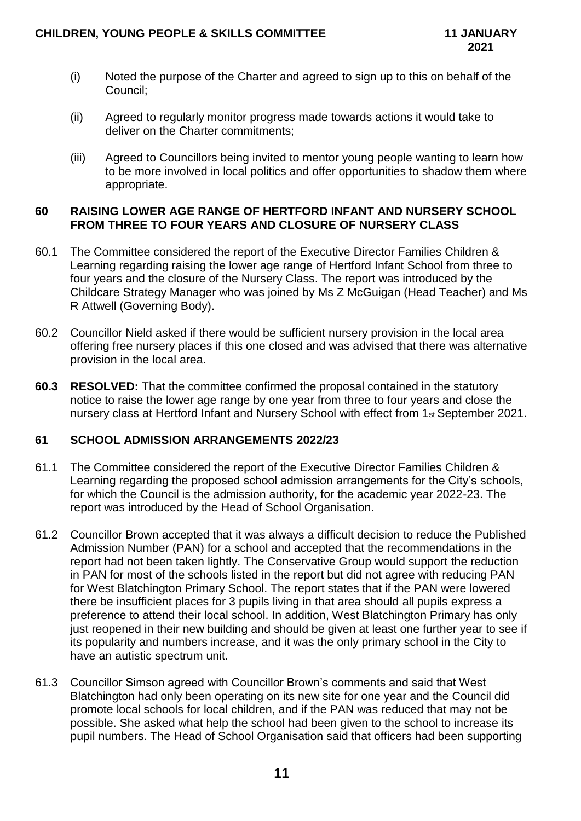- (i) Noted the purpose of the Charter and agreed to sign up to this on behalf of the Council;
- (ii) Agreed to regularly monitor progress made towards actions it would take to deliver on the Charter commitments;
- (iii) Agreed to Councillors being invited to mentor young people wanting to learn how to be more involved in local politics and offer opportunities to shadow them where appropriate.

### **60 RAISING LOWER AGE RANGE OF HERTFORD INFANT AND NURSERY SCHOOL FROM THREE TO FOUR YEARS AND CLOSURE OF NURSERY CLASS**

- 60.1 The Committee considered the report of the Executive Director Families Children & Learning regarding raising the lower age range of Hertford Infant School from three to four years and the closure of the Nursery Class. The report was introduced by the Childcare Strategy Manager who was joined by Ms Z McGuigan (Head Teacher) and Ms R Attwell (Governing Body).
- 60.2 Councillor Nield asked if there would be sufficient nursery provision in the local area offering free nursery places if this one closed and was advised that there was alternative provision in the local area.
- **60.3 RESOLVED:** That the committee confirmed the proposal contained in the statutory notice to raise the lower age range by one year from three to four years and close the nursery class at Hertford Infant and Nursery School with effect from 1st September 2021.

## **61 SCHOOL ADMISSION ARRANGEMENTS 2022/23**

- 61.1 The Committee considered the report of the Executive Director Families Children & Learning regarding the proposed school admission arrangements for the City's schools, for which the Council is the admission authority, for the academic year 2022-23. The report was introduced by the Head of School Organisation.
- 61.2 Councillor Brown accepted that it was always a difficult decision to reduce the Published Admission Number (PAN) for a school and accepted that the recommendations in the report had not been taken lightly. The Conservative Group would support the reduction in PAN for most of the schools listed in the report but did not agree with reducing PAN for West Blatchington Primary School. The report states that if the PAN were lowered there be insufficient places for 3 pupils living in that area should all pupils express a preference to attend their local school. In addition, West Blatchington Primary has only just reopened in their new building and should be given at least one further year to see if its popularity and numbers increase, and it was the only primary school in the City to have an autistic spectrum unit.
- 61.3 Councillor Simson agreed with Councillor Brown's comments and said that West Blatchington had only been operating on its new site for one year and the Council did promote local schools for local children, and if the PAN was reduced that may not be possible. She asked what help the school had been given to the school to increase its pupil numbers. The Head of School Organisation said that officers had been supporting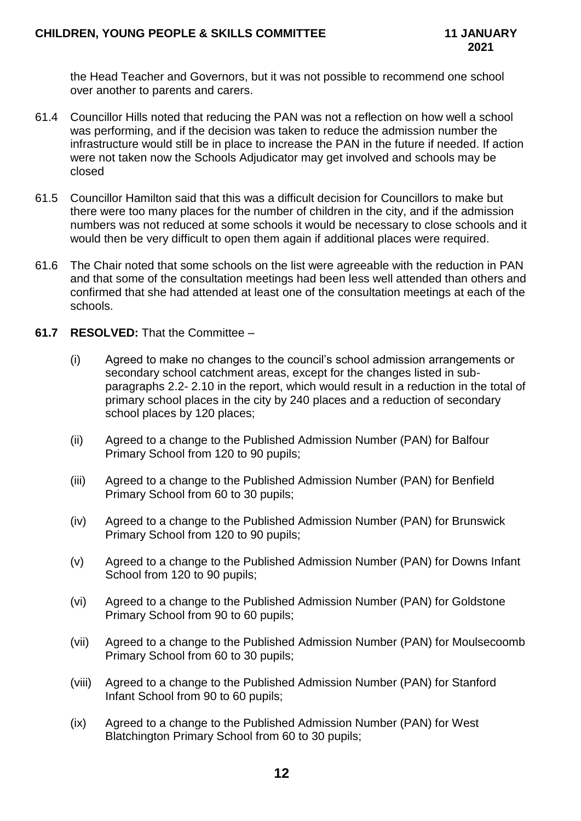the Head Teacher and Governors, but it was not possible to recommend one school over another to parents and carers.

- 61.4 Councillor Hills noted that reducing the PAN was not a reflection on how well a school was performing, and if the decision was taken to reduce the admission number the infrastructure would still be in place to increase the PAN in the future if needed. If action were not taken now the Schools Adjudicator may get involved and schools may be closed
- 61.5 Councillor Hamilton said that this was a difficult decision for Councillors to make but there were too many places for the number of children in the city, and if the admission numbers was not reduced at some schools it would be necessary to close schools and it would then be very difficult to open them again if additional places were required.
- 61.6 The Chair noted that some schools on the list were agreeable with the reduction in PAN and that some of the consultation meetings had been less well attended than others and confirmed that she had attended at least one of the consultation meetings at each of the schools.
- **61.7 RESOLVED:** That the Committee
	- (i) Agreed to make no changes to the council's school admission arrangements or secondary school catchment areas, except for the changes listed in subparagraphs 2.2- 2.10 in the report, which would result in a reduction in the total of primary school places in the city by 240 places and a reduction of secondary school places by 120 places;
	- (ii) Agreed to a change to the Published Admission Number (PAN) for Balfour Primary School from 120 to 90 pupils;
	- (iii) Agreed to a change to the Published Admission Number (PAN) for Benfield Primary School from 60 to 30 pupils;
	- (iv) Agreed to a change to the Published Admission Number (PAN) for Brunswick Primary School from 120 to 90 pupils;
	- (v) Agreed to a change to the Published Admission Number (PAN) for Downs Infant School from 120 to 90 pupils;
	- (vi) Agreed to a change to the Published Admission Number (PAN) for Goldstone Primary School from 90 to 60 pupils;
	- (vii) Agreed to a change to the Published Admission Number (PAN) for Moulsecoomb Primary School from 60 to 30 pupils;
	- (viii) Agreed to a change to the Published Admission Number (PAN) for Stanford Infant School from 90 to 60 pupils;
	- (ix) Agreed to a change to the Published Admission Number (PAN) for West Blatchington Primary School from 60 to 30 pupils;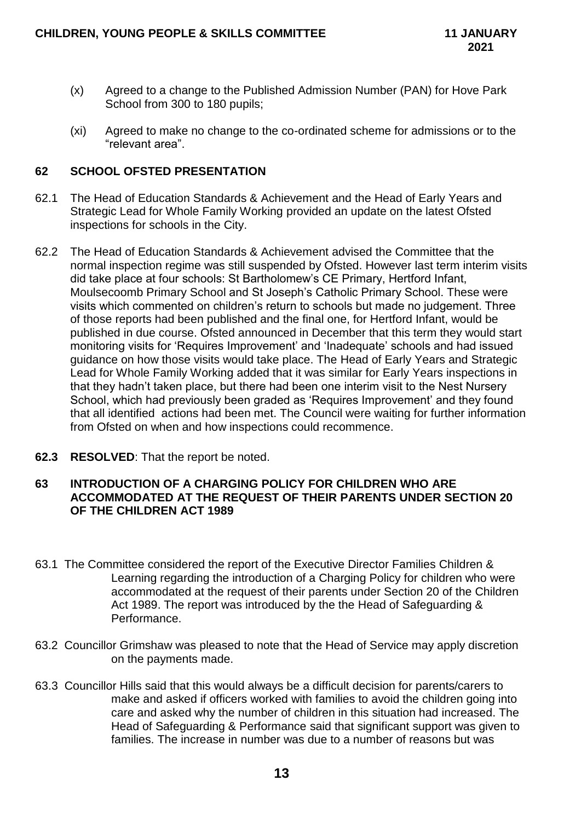- (x) Agreed to a change to the Published Admission Number (PAN) for Hove Park School from 300 to 180 pupils;
- (xi) Agreed to make no change to the co-ordinated scheme for admissions or to the "relevant area".

## **62 SCHOOL OFSTED PRESENTATION**

- 62.1 The Head of Education Standards & Achievement and the Head of Early Years and Strategic Lead for Whole Family Working provided an update on the latest Ofsted inspections for schools in the City.
- 62.2 The Head of Education Standards & Achievement advised the Committee that the normal inspection regime was still suspended by Ofsted. However last term interim visits did take place at four schools: St Bartholomew's CE Primary, Hertford Infant, Moulsecoomb Primary School and St Joseph's Catholic Primary School. These were visits which commented on children's return to schools but made no judgement. Three of those reports had been published and the final one, for Hertford Infant, would be published in due course. Ofsted announced in December that this term they would start monitoring visits for 'Requires Improvement' and 'Inadequate' schools and had issued guidance on how those visits would take place. The Head of Early Years and Strategic Lead for Whole Family Working added that it was similar for Early Years inspections in that they hadn't taken place, but there had been one interim visit to the Nest Nursery School, which had previously been graded as 'Requires Improvement' and they found that all identified actions had been met. The Council were waiting for further information from Ofsted on when and how inspections could recommence.
- **62.3 RESOLVED**: That the report be noted.

## **63 INTRODUCTION OF A CHARGING POLICY FOR CHILDREN WHO ARE ACCOMMODATED AT THE REQUEST OF THEIR PARENTS UNDER SECTION 20 OF THE CHILDREN ACT 1989**

- 63.1 The Committee considered the report of the Executive Director Families Children & Learning regarding the introduction of a Charging Policy for children who were accommodated at the request of their parents under Section 20 of the Children Act 1989. The report was introduced by the the Head of Safeguarding & Performance.
- 63.2 Councillor Grimshaw was pleased to note that the Head of Service may apply discretion on the payments made.
- 63.3 Councillor Hills said that this would always be a difficult decision for parents/carers to make and asked if officers worked with families to avoid the children going into care and asked why the number of children in this situation had increased. The Head of Safeguarding & Performance said that significant support was given to families. The increase in number was due to a number of reasons but was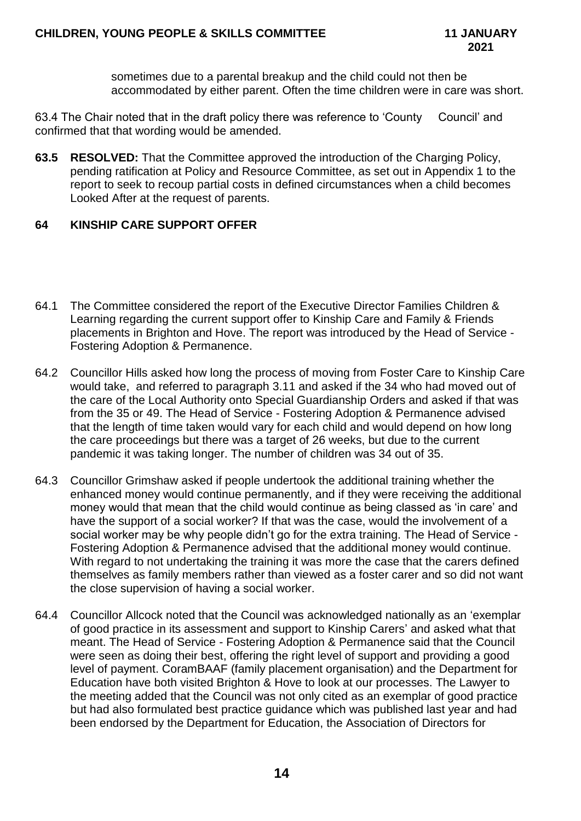sometimes due to a parental breakup and the child could not then be accommodated by either parent. Often the time children were in care was short.

63.4 The Chair noted that in the draft policy there was reference to 'County Council' and confirmed that that wording would be amended.

**63.5 RESOLVED:** That the Committee approved the introduction of the Charging Policy, pending ratification at Policy and Resource Committee, as set out in Appendix 1 to the report to seek to recoup partial costs in defined circumstances when a child becomes Looked After at the request of parents.

## **64 KINSHIP CARE SUPPORT OFFER**

- 64.1 The Committee considered the report of the Executive Director Families Children & Learning regarding the current support offer to Kinship Care and Family & Friends placements in Brighton and Hove. The report was introduced by the Head of Service - Fostering Adoption & Permanence.
- 64.2 Councillor Hills asked how long the process of moving from Foster Care to Kinship Care would take, and referred to paragraph 3.11 and asked if the 34 who had moved out of the care of the Local Authority onto Special Guardianship Orders and asked if that was from the 35 or 49. The Head of Service - Fostering Adoption & Permanence advised that the length of time taken would vary for each child and would depend on how long the care proceedings but there was a target of 26 weeks, but due to the current pandemic it was taking longer. The number of children was 34 out of 35.
- 64.3 Councillor Grimshaw asked if people undertook the additional training whether the enhanced money would continue permanently, and if they were receiving the additional money would that mean that the child would continue as being classed as 'in care' and have the support of a social worker? If that was the case, would the involvement of a social worker may be why people didn't go for the extra training. The Head of Service - Fostering Adoption & Permanence advised that the additional money would continue. With regard to not undertaking the training it was more the case that the carers defined themselves as family members rather than viewed as a foster carer and so did not want the close supervision of having a social worker.
- 64.4 Councillor Allcock noted that the Council was acknowledged nationally as an 'exemplar of good practice in its assessment and support to Kinship Carers' and asked what that meant. The Head of Service - Fostering Adoption & Permanence said that the Council were seen as doing their best, offering the right level of support and providing a good level of payment. CoramBAAF (family placement organisation) and the Department for Education have both visited Brighton & Hove to look at our processes. The Lawyer to the meeting added that the Council was not only cited as an exemplar of good practice but had also formulated best practice guidance which was published last year and had been endorsed by the Department for Education, the Association of Directors for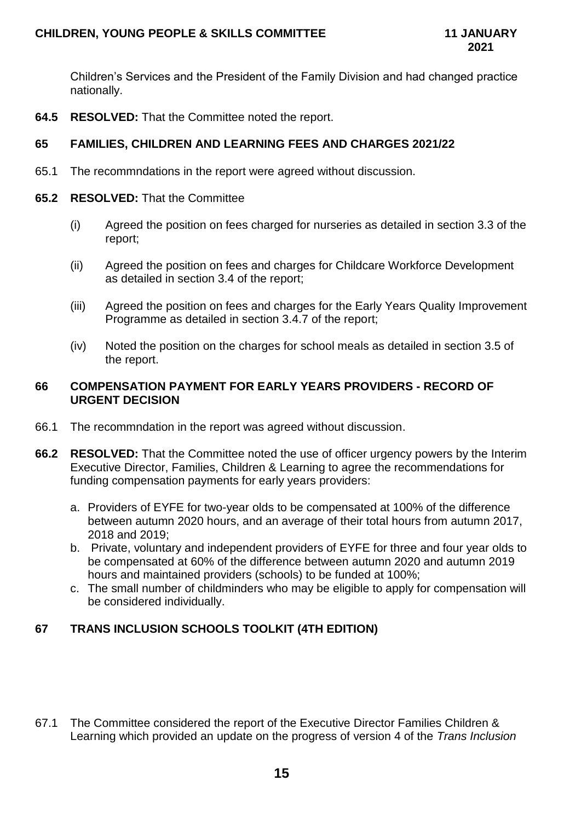Children's Services and the President of the Family Division and had changed practice nationally.

**64.5 RESOLVED:** That the Committee noted the report.

## **65 FAMILIES, CHILDREN AND LEARNING FEES AND CHARGES 2021/22**

65.1 The recommndations in the report were agreed without discussion.

## **65.2 RESOLVED:** That the Committee

- (i) Agreed the position on fees charged for nurseries as detailed in section 3.3 of the report;
- (ii) Agreed the position on fees and charges for Childcare Workforce Development as detailed in section 3.4 of the report;
- (iii) Agreed the position on fees and charges for the Early Years Quality Improvement Programme as detailed in section 3.4.7 of the report;
- (iv) Noted the position on the charges for school meals as detailed in section 3.5 of the report.

## **66 COMPENSATION PAYMENT FOR EARLY YEARS PROVIDERS - RECORD OF URGENT DECISION**

- 66.1 The recommndation in the report was agreed without discussion.
- **66.2 RESOLVED:** That the Committee noted the use of officer urgency powers by the Interim Executive Director, Families, Children & Learning to agree the recommendations for funding compensation payments for early years providers:
	- a. Providers of EYFE for two-year olds to be compensated at 100% of the difference between autumn 2020 hours, and an average of their total hours from autumn 2017, 2018 and 2019;
	- b. Private, voluntary and independent providers of EYFE for three and four year olds to be compensated at 60% of the difference between autumn 2020 and autumn 2019 hours and maintained providers (schools) to be funded at 100%;
	- c. The small number of childminders who may be eligible to apply for compensation will be considered individually.

## **67 TRANS INCLUSION SCHOOLS TOOLKIT (4TH EDITION)**

67.1 The Committee considered the report of the Executive Director Families Children & Learning which provided an update on the progress of version 4 of the *Trans Inclusion*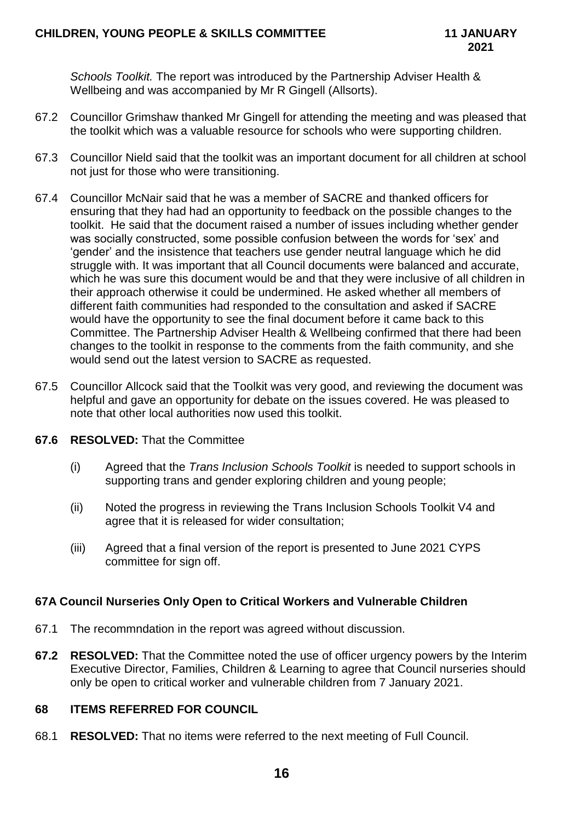*Schools Toolkit.* The report was introduced by the Partnership Adviser Health & Wellbeing and was accompanied by Mr R Gingell (Allsorts).

- 67.2 Councillor Grimshaw thanked Mr Gingell for attending the meeting and was pleased that the toolkit which was a valuable resource for schools who were supporting children.
- 67.3 Councillor Nield said that the toolkit was an important document for all children at school not just for those who were transitioning.
- 67.4 Councillor McNair said that he was a member of SACRE and thanked officers for ensuring that they had had an opportunity to feedback on the possible changes to the toolkit. He said that the document raised a number of issues including whether gender was socially constructed, some possible confusion between the words for 'sex' and 'gender' and the insistence that teachers use gender neutral language which he did struggle with. It was important that all Council documents were balanced and accurate, which he was sure this document would be and that they were inclusive of all children in their approach otherwise it could be undermined. He asked whether all members of different faith communities had responded to the consultation and asked if SACRE would have the opportunity to see the final document before it came back to this Committee. The Partnership Adviser Health & Wellbeing confirmed that there had been changes to the toolkit in response to the comments from the faith community, and she would send out the latest version to SACRE as requested.
- 67.5 Councillor Allcock said that the Toolkit was very good, and reviewing the document was helpful and gave an opportunity for debate on the issues covered. He was pleased to note that other local authorities now used this toolkit.

## **67.6 RESOLVED:** That the Committee

- (i) Agreed that the *Trans Inclusion Schools Toolkit* is needed to support schools in supporting trans and gender exploring children and young people;
- (ii) Noted the progress in reviewing the Trans Inclusion Schools Toolkit V4 and agree that it is released for wider consultation;
- (iii) Agreed that a final version of the report is presented to June 2021 CYPS committee for sign off.

## **67A Council Nurseries Only Open to Critical Workers and Vulnerable Children**

- 67.1 The recommndation in the report was agreed without discussion.
- **67.2 RESOLVED:** That the Committee noted the use of officer urgency powers by the Interim Executive Director, Families, Children & Learning to agree that Council nurseries should only be open to critical worker and vulnerable children from 7 January 2021.

## **68 ITEMS REFERRED FOR COUNCIL**

68.1 **RESOLVED:** That no items were referred to the next meeting of Full Council.